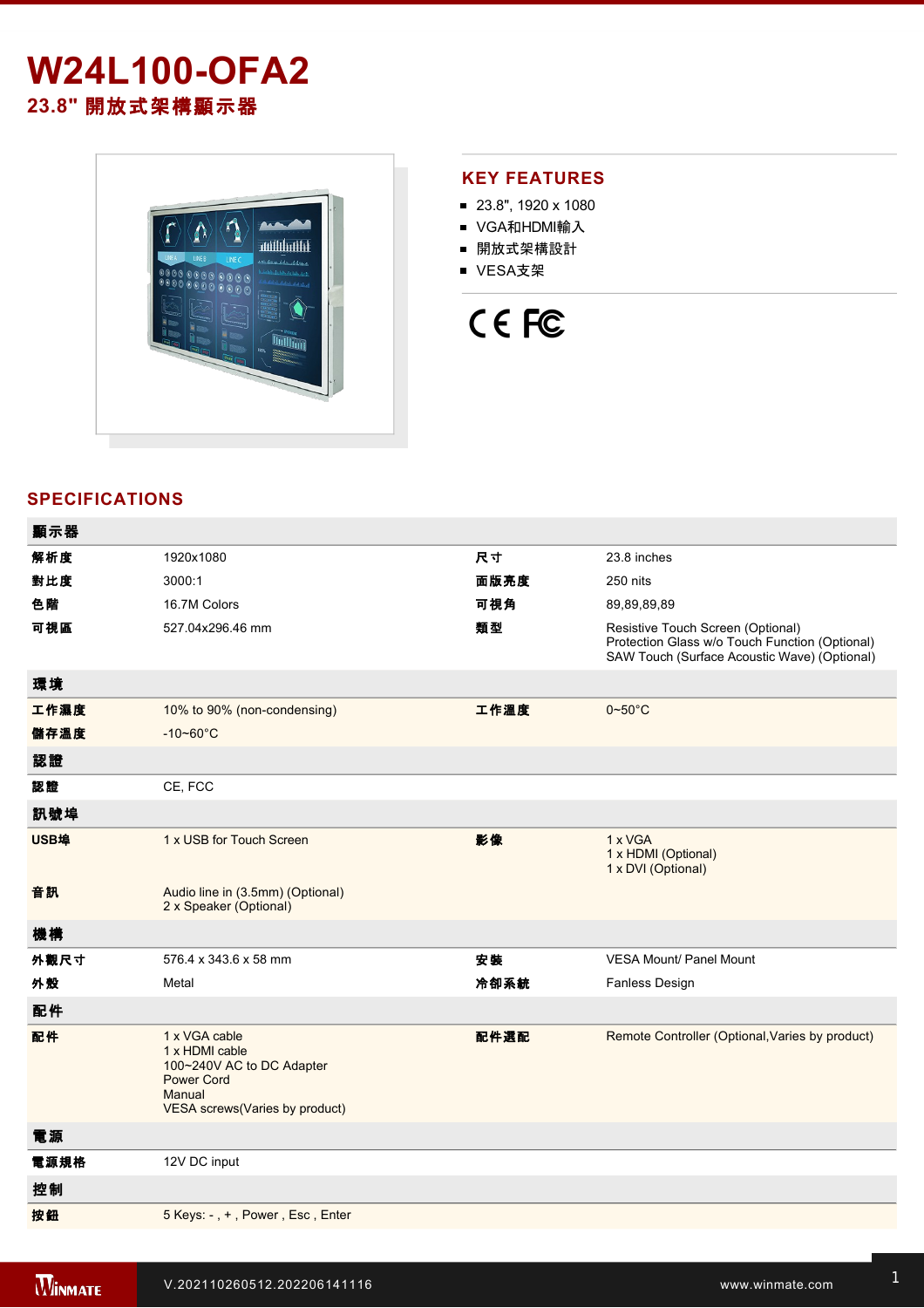# **W24L100-OFA2 23.8"** 開放式架構顯示器



## **KEY FEATURES**

- 23.8", 1920 x 1080
- VGA和HDMI輸入
- 開放式架構設計
- VESA支架



## **SPECIFICATIONS**

| 顯示器  |                                                                                                                               |      |                                                                                                                                     |
|------|-------------------------------------------------------------------------------------------------------------------------------|------|-------------------------------------------------------------------------------------------------------------------------------------|
| 解析度  | 1920x1080                                                                                                                     | 尺寸   | 23.8 inches                                                                                                                         |
| 對比度  | 3000:1                                                                                                                        | 面版亮度 | 250 nits                                                                                                                            |
| 色階   | 16.7M Colors                                                                                                                  | 可視角  | 89,89,89,89                                                                                                                         |
| 可視區  | 527.04x296.46 mm                                                                                                              | 類型   | Resistive Touch Screen (Optional)<br>Protection Glass w/o Touch Function (Optional)<br>SAW Touch (Surface Acoustic Wave) (Optional) |
| 環境   |                                                                                                                               |      |                                                                                                                                     |
| 工作濕度 | 10% to 90% (non-condensing)                                                                                                   | 工作溫度 | $0\nightharpoonup 50^\circ C$                                                                                                       |
| 儲存溫度 | $-10 - 60^{\circ}$ C                                                                                                          |      |                                                                                                                                     |
| 認證   |                                                                                                                               |      |                                                                                                                                     |
| 認證   | CE, FCC                                                                                                                       |      |                                                                                                                                     |
| 訊號埠  |                                                                                                                               |      |                                                                                                                                     |
| USB埠 | 1 x USB for Touch Screen                                                                                                      | 影像   | 1 x VGA<br>1 x HDMI (Optional)<br>1 x DVI (Optional)                                                                                |
| 音訊   | Audio line in (3.5mm) (Optional)<br>2 x Speaker (Optional)                                                                    |      |                                                                                                                                     |
| 機構   |                                                                                                                               |      |                                                                                                                                     |
| 外觀尺寸 | 576.4 x 343.6 x 58 mm                                                                                                         | 安裝   | <b>VESA Mount/ Panel Mount</b>                                                                                                      |
| 外殼   | Metal                                                                                                                         | 冷卻系統 | <b>Fanless Design</b>                                                                                                               |
| 配件   |                                                                                                                               |      |                                                                                                                                     |
| 配件   | 1 x VGA cable<br>1 x HDMI cable<br>100~240V AC to DC Adapter<br><b>Power Cord</b><br>Manual<br>VESA screws(Varies by product) | 配件選配 | Remote Controller (Optional, Varies by product)                                                                                     |
| 電源   |                                                                                                                               |      |                                                                                                                                     |
| 電源規格 | 12V DC input                                                                                                                  |      |                                                                                                                                     |
| 控制   |                                                                                                                               |      |                                                                                                                                     |
| 按鈕   | 5 Keys: -, +, Power, Esc, Enter                                                                                               |      |                                                                                                                                     |
|      |                                                                                                                               |      |                                                                                                                                     |